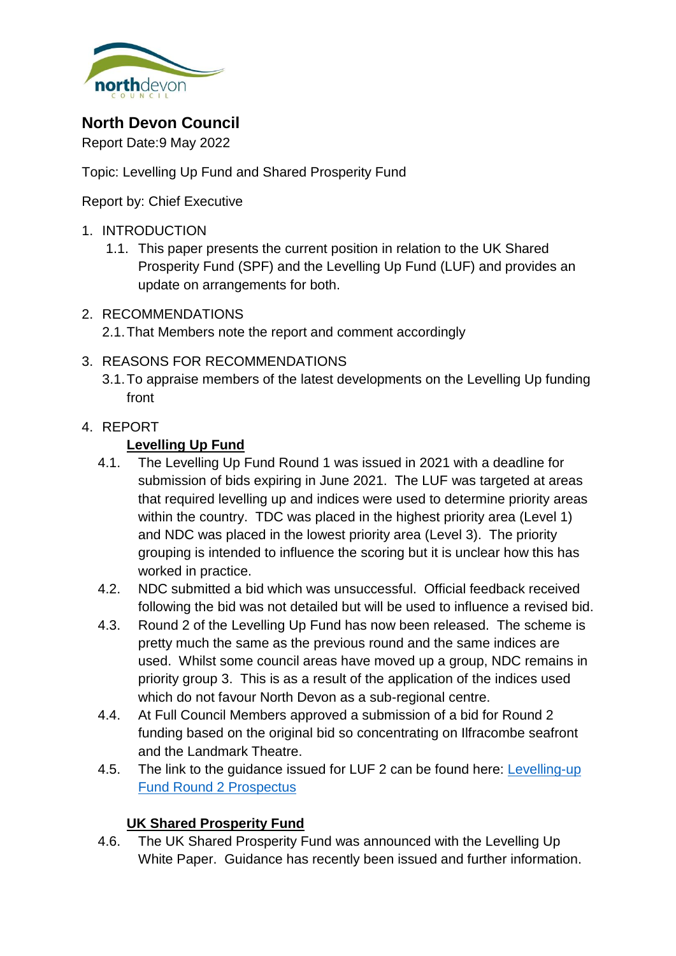

# **North Devon Council**

Report Date:9 May 2022

Topic: Levelling Up Fund and Shared Prosperity Fund

Report by: Chief Executive

- 1. INTRODUCTION
	- 1.1. This paper presents the current position in relation to the UK Shared Prosperity Fund (SPF) and the Levelling Up Fund (LUF) and provides an update on arrangements for both.
- 2. RECOMMENDATIONS
	- 2.1.That Members note the report and comment accordingly
- 3. REASONS FOR RECOMMENDATIONS
	- 3.1.To appraise members of the latest developments on the Levelling Up funding front

# 4. REPORT

# **Levelling Up Fund**

- 4.1. The Levelling Up Fund Round 1 was issued in 2021 with a deadline for submission of bids expiring in June 2021. The LUF was targeted at areas that required levelling up and indices were used to determine priority areas within the country. TDC was placed in the highest priority area (Level 1) and NDC was placed in the lowest priority area (Level 3). The priority grouping is intended to influence the scoring but it is unclear how this has worked in practice.
- 4.2. NDC submitted a bid which was unsuccessful. Official feedback received following the bid was not detailed but will be used to influence a revised bid.
- 4.3. Round 2 of the Levelling Up Fund has now been released. The scheme is pretty much the same as the previous round and the same indices are used. Whilst some council areas have moved up a group, NDC remains in priority group 3. This is as a result of the application of the indices used which do not favour North Devon as a sub-regional centre.
- 4.4. At Full Council Members approved a submission of a bid for Round 2 funding based on the original bid so concentrating on Ilfracombe seafront and the Landmark Theatre.
- 4.5. The link to the guidance issued for LUF 2 can be found here: [Levelling-up](https://www.gov.uk/government/publications/levelling-up-fund-round-2-prospectus)  [Fund Round 2 Prospectus](https://www.gov.uk/government/publications/levelling-up-fund-round-2-prospectus)

# **UK Shared Prosperity Fund**

4.6. The UK Shared Prosperity Fund was announced with the Levelling Up White Paper. Guidance has recently been issued and further information.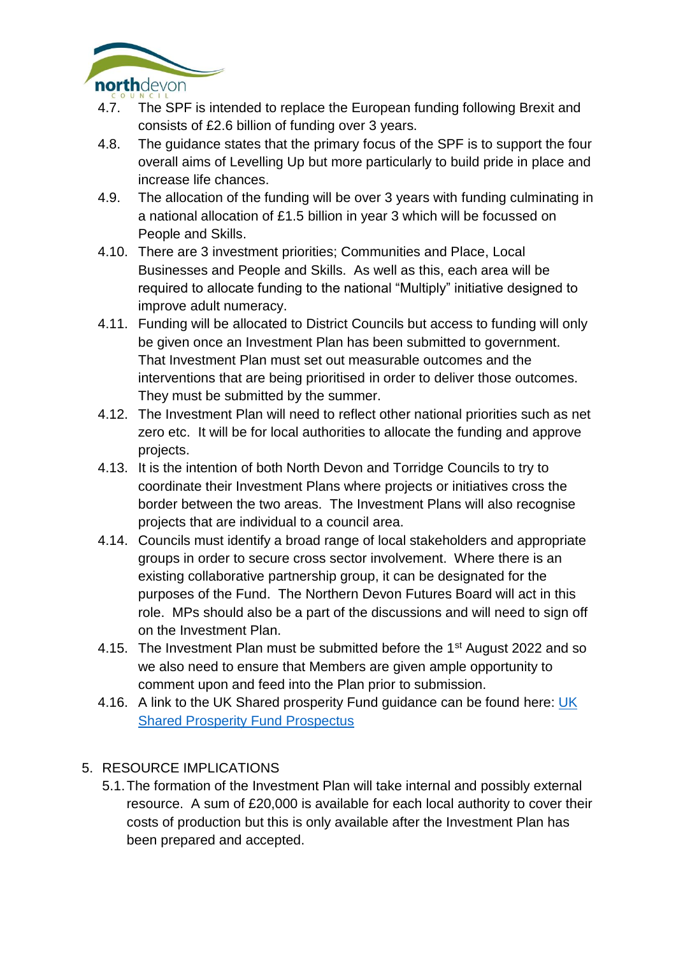

- 4.7. The SPF is intended to replace the European funding following Brexit and consists of £2.6 billion of funding over 3 years.
- 4.8. The guidance states that the primary focus of the SPF is to support the four overall aims of Levelling Up but more particularly to build pride in place and increase life chances.
- 4.9. The allocation of the funding will be over 3 years with funding culminating in a national allocation of £1.5 billion in year 3 which will be focussed on People and Skills.
- 4.10. There are 3 investment priorities; Communities and Place, Local Businesses and People and Skills. As well as this, each area will be required to allocate funding to the national "Multiply" initiative designed to improve adult numeracy.
- 4.11. Funding will be allocated to District Councils but access to funding will only be given once an Investment Plan has been submitted to government. That Investment Plan must set out measurable outcomes and the interventions that are being prioritised in order to deliver those outcomes. They must be submitted by the summer.
- 4.12. The Investment Plan will need to reflect other national priorities such as net zero etc. It will be for local authorities to allocate the funding and approve projects.
- 4.13. It is the intention of both North Devon and Torridge Councils to try to coordinate their Investment Plans where projects or initiatives cross the border between the two areas. The Investment Plans will also recognise projects that are individual to a council area.
- 4.14. Councils must identify a broad range of local stakeholders and appropriate groups in order to secure cross sector involvement. Where there is an existing collaborative partnership group, it can be designated for the purposes of the Fund. The Northern Devon Futures Board will act in this role. MPs should also be a part of the discussions and will need to sign off on the Investment Plan.
- 4.15. The Investment Plan must be submitted before the 1<sup>st</sup> August 2022 and so we also need to ensure that Members are given ample opportunity to comment upon and feed into the Plan prior to submission.
- 4.16. A link to the [UK](https://www.gov.uk/government/publications/uk-shared-prosperity-fund-prospectus/uk-shared-prosperity-fund-prospectus) Shared prosperity Fund guidance can be found here: UK [Shared Prosperity Fund Prospectus](https://www.gov.uk/government/publications/uk-shared-prosperity-fund-prospectus/uk-shared-prosperity-fund-prospectus)

# 5. RESOURCE IMPLICATIONS

5.1.The formation of the Investment Plan will take internal and possibly external resource. A sum of £20,000 is available for each local authority to cover their costs of production but this is only available after the Investment Plan has been prepared and accepted.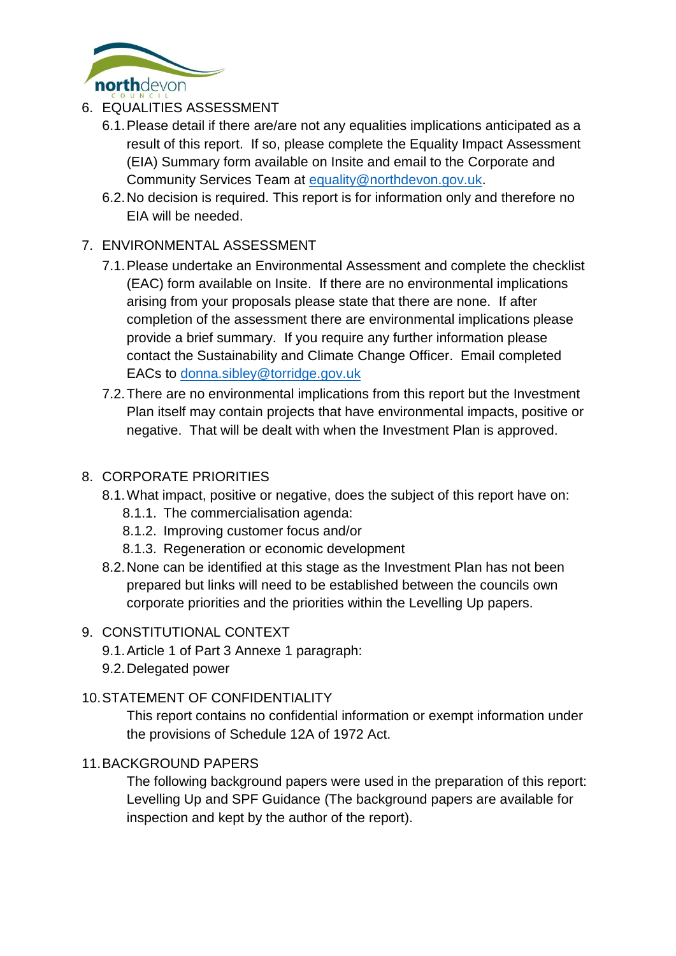

- 6. EQUALITIES ASSESSMENT
	- 6.1.Please detail if there are/are not any equalities implications anticipated as a result of this report. If so, please complete the Equality Impact Assessment (EIA) Summary form available on Insite and email to the Corporate and Community Services Team at [equality@northdevon.gov.uk.](mailto:equality@northdevon.gov.uk)
	- 6.2.No decision is required. This report is for information only and therefore no EIA will be needed.

# 7. ENVIRONMENTAL ASSESSMENT

- 7.1.Please undertake an Environmental Assessment and complete the checklist (EAC) form available on Insite. If there are no environmental implications arising from your proposals please state that there are none. If after completion of the assessment there are environmental implications please provide a brief summary. If you require any further information please contact the Sustainability and Climate Change Officer. Email completed EACs to [donna.sibley@torridge.gov.uk](mailto:donna.sibley@torridge.gov.uk)
- 7.2.There are no environmental implications from this report but the Investment Plan itself may contain projects that have environmental impacts, positive or negative. That will be dealt with when the Investment Plan is approved.

### 8. CORPORATE PRIORITIES

- 8.1.What impact, positive or negative, does the subject of this report have on:
	- 8.1.1. The commercialisation agenda:
	- 8.1.2. Improving customer focus and/or
	- 8.1.3. Regeneration or economic development
- 8.2.None can be identified at this stage as the Investment Plan has not been prepared but links will need to be established between the councils own corporate priorities and the priorities within the Levelling Up papers.

### 9. CONSTITUTIONAL CONTEXT

- 9.1.Article 1 of Part 3 Annexe 1 paragraph:
- 9.2.Delegated power

### 10.STATEMENT OF CONFIDENTIALITY

This report contains no confidential information or exempt information under the provisions of Schedule 12A of 1972 Act.

### 11.BACKGROUND PAPERS

The following background papers were used in the preparation of this report: Levelling Up and SPF Guidance (The background papers are available for inspection and kept by the author of the report).